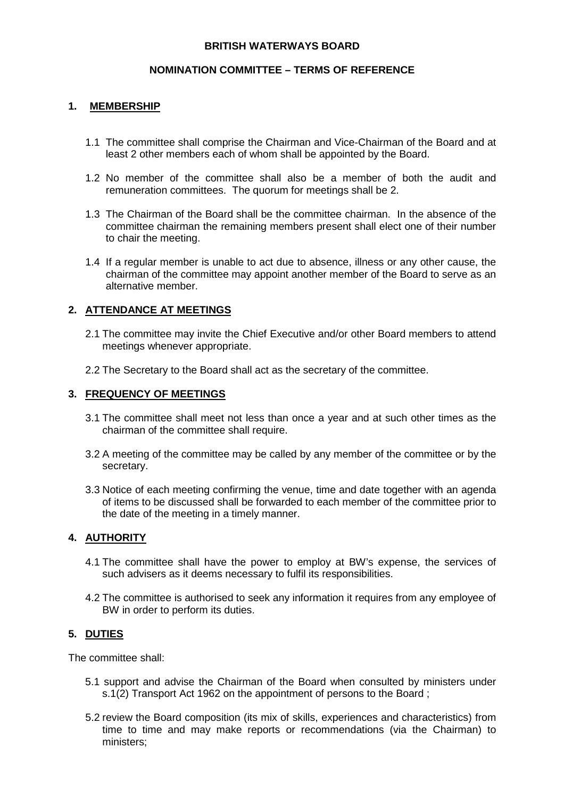## **BRITISH WATERWAYS BOARD**

### **NOMINATION COMMITTEE – TERMS OF REFERENCE**

## **1. MEMBERSHIP**

- 1.1 The committee shall comprise the Chairman and Vice-Chairman of the Board and at least 2 other members each of whom shall be appointed by the Board.
- 1.2 No member of the committee shall also be a member of both the audit and remuneration committees. The quorum for meetings shall be 2.
- 1.3 The Chairman of the Board shall be the committee chairman. In the absence of the committee chairman the remaining members present shall elect one of their number to chair the meeting.
- 1.4 If a regular member is unable to act due to absence, illness or any other cause, the chairman of the committee may appoint another member of the Board to serve as an alternative member.

# **2. ATTENDANCE AT MEETINGS**

- 2.1 The committee may invite the Chief Executive and/or other Board members to attend meetings whenever appropriate.
- 2.2 The Secretary to the Board shall act as the secretary of the committee.

### **3. FREQUENCY OF MEETINGS**

- 3.1 The committee shall meet not less than once a year and at such other times as the chairman of the committee shall require.
- 3.2 A meeting of the committee may be called by any member of the committee or by the secretary.
- 3.3 Notice of each meeting confirming the venue, time and date together with an agenda of items to be discussed shall be forwarded to each member of the committee prior to the date of the meeting in a timely manner.

### **4. AUTHORITY**

- 4.1 The committee shall have the power to employ at BW's expense, the services of such advisers as it deems necessary to fulfil its responsibilities.
- 4.2 The committee is authorised to seek any information it requires from any employee of BW in order to perform its duties.

### **5. DUTIES**

The committee shall:

- 5.1 support and advise the Chairman of the Board when consulted by ministers under s.1(2) Transport Act 1962 on the appointment of persons to the Board ;
- 5.2 review the Board composition (its mix of skills, experiences and characteristics) from time to time and may make reports or recommendations (via the Chairman) to ministers;